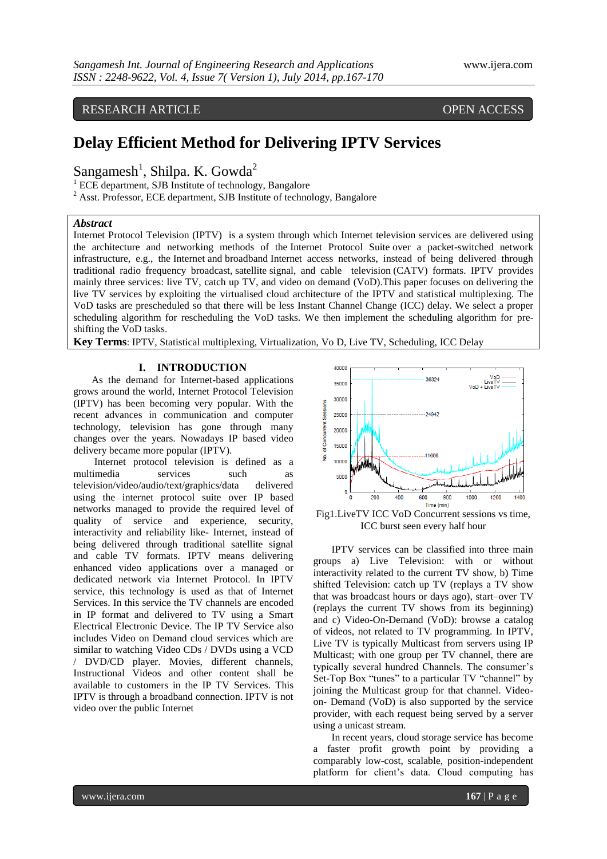RESEARCH ARTICLE OPEN ACCESS

# **Delay Efficient Method for Delivering IPTV Services**

Sangamesh<sup>1</sup>, Shilpa. K. Gowda<sup>2</sup>

<sup>1</sup> ECE department, SJB Institute of technology, Bangalore

<sup>2</sup> Asst. Professor, ECE department, SJB Institute of technology, Bangalore

#### *Abstract*

Internet Protocol Television (IPTV) is a system through which Internet television services are delivered using the architecture and networking methods of the Internet Protocol Suite over a packet-switched network infrastructure, e.g., the Internet and broadband Internet access networks, instead of being delivered through traditional radio frequency broadcast, satellite signal, and cable television (CATV) formats. IPTV provides mainly three services: live TV, catch up TV, and video on demand (VoD).This paper focuses on delivering the live TV services by exploiting the virtualised cloud architecture of the IPTV and statistical multiplexing. The VoD tasks are prescheduled so that there will be less Instant Channel Change (ICC) delay. We select a proper scheduling algorithm for rescheduling the VoD tasks. We then implement the scheduling algorithm for preshifting the VoD tasks.

**Key Terms**: IPTV, Statistical multiplexing, Virtualization, Vo D, Live TV, Scheduling, ICC Delay

## **I. INTRODUCTION**

As the demand for Internet-based applications grows around the world, Internet Protocol Television (IPTV) has been becoming very popular. With the recent advances in communication and computer technology, television has gone through many changes over the years. Nowadays IP based video delivery became more popular (IPTV).

Internet protocol television is defined as a multimedia services such as television/video/audio/text/graphics/data delivered using the internet protocol suite over IP based networks managed to provide the required level of quality of service and experience, security, interactivity and reliability like- Internet, instead of being delivered through traditional satellite signal and cable TV formats. IPTV means delivering enhanced video applications over a managed or dedicated network via Internet Protocol. In IPTV service, this technology is used as that of Internet Services. In this service the TV channels are encoded in IP format and delivered to TV using a Smart Electrical Electronic Device. The IP TV Service also includes Video on Demand cloud services which are similar to watching Video CDs / DVDs using a VCD / DVD/CD player. Movies, different channels, Instructional Videos and other content shall be available to customers in the IP TV Services. This IPTV is through a broadband connection. IPTV is not video over the public Internet



Fig1.LiveTV ICC VoD Concurrent sessions vs time, ICC burst seen every half hour

IPTV services can be classified into three main groups a) Live Television: with or without interactivity related to the current TV show, b) Time shifted Television: catch up TV (replays a TV show that was broadcast hours or days ago), start–over TV (replays the current TV shows from its beginning) and c) Video-On-Demand (VoD): browse a catalog of videos, not related to TV programming. In IPTV, Live TV is typically Multicast from servers using IP Multicast; with one group per TV channel, there are typically several hundred Channels. The consumer's Set-Top Box "tunes" to a particular TV "channel" by joining the Multicast group for that channel. Videoon- Demand (VoD) is also supported by the service provider, with each request being served by a server using a unicast stream.

In recent years, cloud storage service has become a faster profit growth point by providing a comparably low-cost, scalable, position-independent platform for client's data. Cloud computing has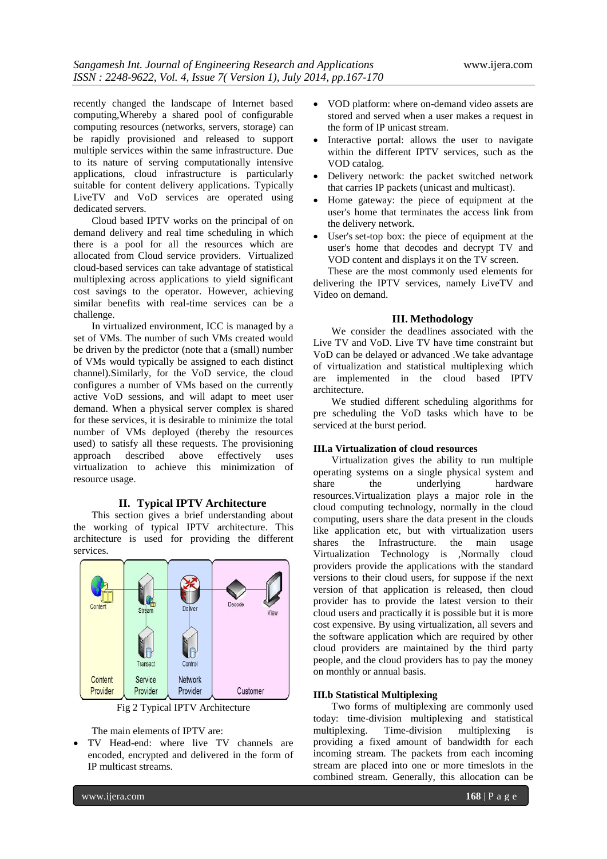recently changed the landscape of Internet based computing,Whereby a shared pool of configurable computing resources (networks, servers, storage) can be rapidly provisioned and released to support multiple services within the same infrastructure. Due to its nature of serving computationally intensive applications, cloud infrastructure is particularly suitable for content delivery applications. Typically LiveTV and VoD services are operated using dedicated servers.

Cloud based IPTV works on the principal of on demand delivery and real time scheduling in which there is a pool for all the resources which are allocated from Cloud service providers. Virtualized cloud-based services can take advantage of statistical multiplexing across applications to yield significant cost savings to the operator. However, achieving similar benefits with real-time services can be a challenge.

In virtualized environment, ICC is managed by a set of VMs. The number of such VMs created would be driven by the predictor (note that a (small) number of VMs would typically be assigned to each distinct channel).Similarly, for the VoD service, the cloud configures a number of VMs based on the currently active VoD sessions, and will adapt to meet user demand. When a physical server complex is shared for these services, it is desirable to minimize the total number of VMs deployed (thereby the resources used) to satisfy all these requests. The provisioning approach described above effectively uses virtualization to achieve this minimization of resource usage.

#### **II. Typical IPTV Architecture**

This section gives a brief understanding about the working of typical IPTV architecture. This architecture is used for providing the different services.



Fig 2 Typical IPTV Architecture

The main elements of IPTV are:

 TV Head-end: where live TV channels are encoded, encrypted and delivered in the form of IP multicast streams.

- VOD platform: where on-demand video assets are stored and served when a user makes a request in the form of IP unicast stream.
- Interactive portal: allows the user to navigate within the different IPTV services, such as the VOD catalog.
- Delivery network: the packet switched network that carries IP packets (unicast and multicast).
- Home gateway: the piece of equipment at the user's home that terminates the access link from the delivery network.
- User's [set-top box:](http://en.wikipedia.org/wiki/Set-top_box) the piece of equipment at the user's home that decodes and decrypt TV and VOD content and displays it on the TV screen.

These are the most commonly used elements for delivering the IPTV services, namely LiveTV and Video on demand.

### **III. Methodology**

We consider the deadlines associated with the Live TV and VoD. Live TV have time constraint but VoD can be delayed or advanced .We take advantage of virtualization and statistical multiplexing which are implemented in the cloud based IPTV architecture.

We studied different scheduling algorithms for pre scheduling the VoD tasks which have to be serviced at the burst period.

#### **III.a Virtualization of cloud resources**

Virtualization gives the ability to run multiple operating systems on a single physical system and share the underlying hardware resources.Virtualization plays a major role in the cloud computing technology, normally in the cloud computing, users share the data present in the clouds like application etc, but with virtualization users shares the Infrastructure. the main usage Virtualization Technology is ,Normally cloud providers provide the applications with the standard versions to their cloud users, for suppose if the next version of that application is released, then cloud provider has to provide the latest version to their cloud users and practically it is possible but it is more cost expensive. By using virtualization, all severs and the software application which are required by other cloud providers are maintained by the third party people, and the cloud providers has to pay the money on monthly or annual basis.

#### **III.b Statistical Multiplexing**

Two forms of multiplexing are commonly used today: time-division multiplexing and statistical multiplexing. Time-division multiplexing is providing a fixed amount of bandwidth for each incoming stream. The packets from each incoming stream are placed into one or more timeslots in the combined stream. Generally, this allocation can be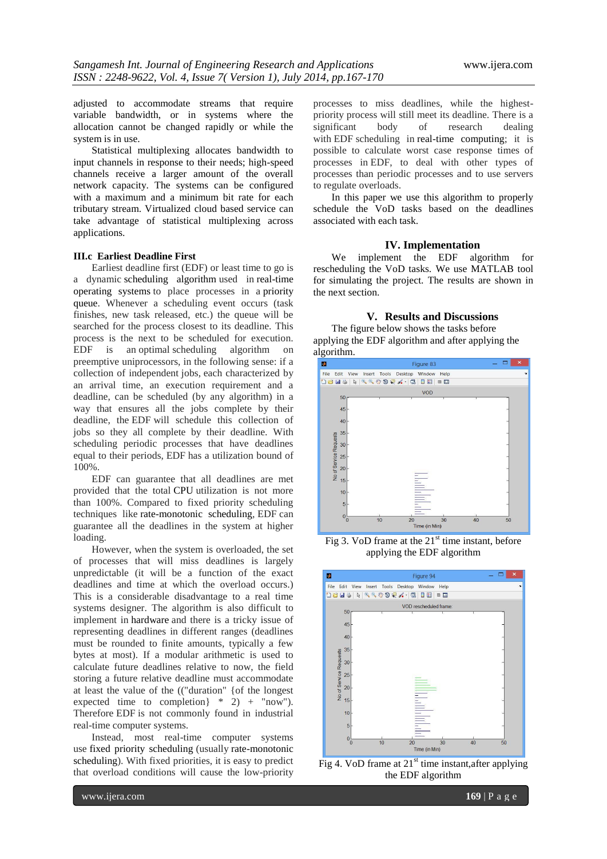adjusted to accommodate streams that require variable bandwidth, or in systems where the allocation cannot be changed rapidly or while the system is in use.

Statistical multiplexing allocates bandwidth to input channels in response to their needs; high-speed channels receive a larger amount of the overall network capacity. The systems can be configured with a maximum and a minimum bit rate for each tributary stream. Virtualized cloud based service can take advantage of statistical multiplexing across applications.

### **III.c Earliest Deadline First**

Earliest deadline first (EDF) or least time to go is a dynamic scheduling algorithm used in real-time operating systems to place processes in a priority queue. Whenever a scheduling event occurs (task finishes, new task released, etc.) the queue will be searched for the process closest to its deadline. This process is the next to be scheduled for execution. EDF is an optimal scheduling algorithm on preemptive uniprocessors, in the following sense: if a collection of independent jobs*,* each characterized by an arrival time, an execution requirement and a deadline, can be scheduled (by any algorithm) in a way that ensures all the jobs complete by their deadline, the EDF will schedule this collection of jobs so they all complete by their deadline. With scheduling periodic processes that have deadlines equal to their periods, EDF has a utilization bound of 100%.

EDF can guarantee that all deadlines are met provided that the total CPU utilization is not more than 100%. Compared to fixed priority scheduling techniques like rate-monotonic scheduling, EDF can guarantee all the deadlines in the system at higher loading.

However, when the system is overloaded, the set of processes that will miss deadlines is largely unpredictable (it will be a function of the exact deadlines and time at which the overload occurs.) This is a considerable disadvantage to a real time systems designer. The algorithm is also difficult to implement in hardware and there is a tricky issue of representing deadlines in different ranges (deadlines must be rounded to finite amounts, typically a few bytes at most). If a modular arithmetic is used to calculate future deadlines relative to now, the field storing a future relative deadline must accommodate at least the value of the (("duration" {of the longest expected time to completion  $*$  2) + "now"). Therefore EDF is not commonly found in industrial real-time computer systems.

Instead, most real-time computer systems use fixed priority scheduling (usually rate-monotonic scheduling). With fixed priorities, it is easy to predict that overload conditions will cause the low-priority

processes to miss deadlines, while the highestpriority process will still meet its deadline. There is a significant body of research dealing with EDF scheduling in real-time computing; it is possible to calculate worst case response times of processes in EDF, to deal with other types of processes than periodic processes and to use servers to regulate overloads.

In this paper we use this algorithm to properly schedule the VoD tasks based on the deadlines associated with each task.

#### **IV. Implementation**

We implement the EDF algorithm for rescheduling the VoD tasks. We use MATLAB tool for simulating the project. The results are shown in the next section.

#### **V. Results and Discussions**

The figure below shows the tasks before applying the EDF algorithm and after applying the algorithm.



Fig 3. VoD frame at the  $21<sup>st</sup>$  time instant, before applying the EDF algorithm



Fig 4. VoD frame at  $21^{st}$  time instant, after applying the EDF algorithm